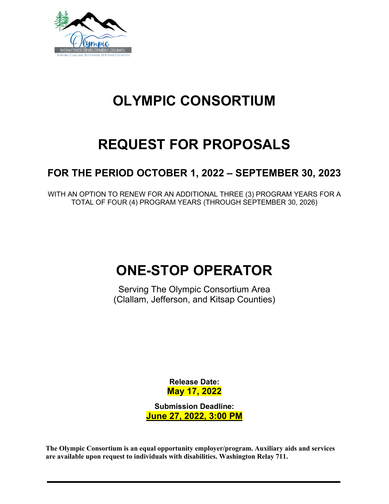

# **OLYMPIC CONSORTIUM**

# **REQUEST FOR PROPOSALS**

## **FOR THE PERIOD OCTOBER 1, 2022 – SEPTEMBER 30, 2023**

WITH AN OPTION TO RENEW FOR AN ADDITIONAL THREE (3) PROGRAM YEARS FOR A TOTAL OF FOUR (4) PROGRAM YEARS (THROUGH SEPTEMBER 30, 2026)

## **ONE-STOP OPERATOR**

Serving The Olympic Consortium Area (Clallam, Jefferson, and Kitsap Counties)

> **Release Date: May 17, 2022**

**Submission Deadline: June 27, 2022, 3:00 PM**

**The Olympic Consortium is an equal opportunity employer/program. Auxiliary aids and services are available upon request to individuals with disabilities. Washington Relay 711.**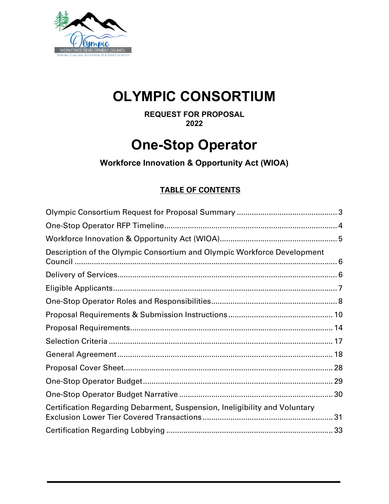

## **OLYMPIC CONSORTIUM**

**REQUEST FOR PROPOSAL 2022**

## **One-Stop Operator**

**Workforce Innovation & Opportunity Act (WIOA)** 

## **TABLE OF CONTENTS**

| Description of the Olympic Consortium and Olympic Workforce Development    |  |
|----------------------------------------------------------------------------|--|
|                                                                            |  |
|                                                                            |  |
|                                                                            |  |
|                                                                            |  |
|                                                                            |  |
|                                                                            |  |
|                                                                            |  |
|                                                                            |  |
|                                                                            |  |
|                                                                            |  |
| Certification Regarding Debarment, Suspension, Ineligibility and Voluntary |  |
|                                                                            |  |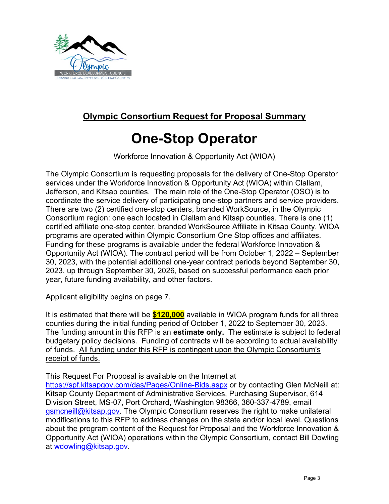

## <span id="page-2-0"></span>**Olympic Consortium Request for Proposal Summary**

## **One-Stop Operator**

Workforce Innovation & Opportunity Act (WIOA)

The Olympic Consortium is requesting proposals for the delivery of One-Stop Operator services under the Workforce Innovation & Opportunity Act (WIOA) within Clallam, Jefferson, and Kitsap counties. The main role of the One-Stop Operator (OSO) is to coordinate the service delivery of participating one-stop partners and service providers. There are two (2) certified one-stop centers, branded WorkSource, in the Olympic Consortium region: one each located in Clallam and Kitsap counties. There is one (1) certified affiliate one-stop center, branded WorkSource Affiliate in Kitsap County. WIOA programs are operated within Olympic Consortium One Stop offices and affiliates. Funding for these programs is available under the federal Workforce Innovation & Opportunity Act (WIOA). The contract period will be from October 1, 2022 – September 30, 2023, with the potential additional one-year contract periods beyond September 30, 2023, up through September 30, 2026, based on successful performance each prior year, future funding availability, and other factors.

Applicant eligibility begins on page 7.

It is estimated that there will be **\$120,000** available in WIOA program funds for all three counties during the initial funding period of October 1, 2022 to September 30, 2023. The funding amount in this RFP is an **estimate only.** The estimate is subject to federal budgetary policy decisions. Funding of contracts will be according to actual availability of funds. All funding under this RFP is contingent upon the Olympic Consortium's receipt of funds.

This Request For Proposal is available on the Internet at

<https://spf.kitsapgov.com/das/Pages/Online-Bids.aspx> or by contacting Glen McNeill at: Kitsap County Department of Administrative Services, Purchasing Supervisor, 614 Division Street, MS-07, Port Orchard, Washington 98366, 360-337-4789, email [gsmcneill@kitsap.gov.](mailto:gsmcneill@kitsap.gov) The Olympic Consortium reserves the right to make unilateral modifications to this RFP to address changes on the state and/or local level. Questions about the program content of the Request for Proposal and the Workforce Innovation & Opportunity Act (WIOA) operations within the Olympic Consortium, contact Bill Dowling at [wdowling@kitsap.gov.](mailto:wdowling@kitsap.gov)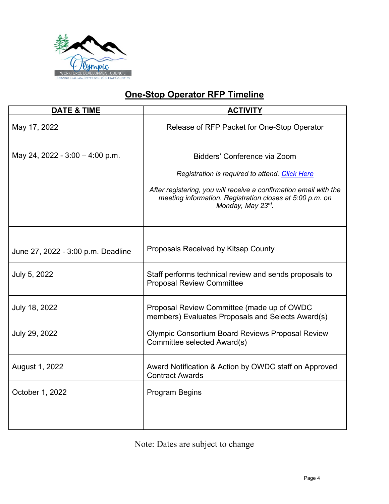

## **One-Stop Operator RFP Timeline**

<span id="page-3-0"></span>

| <b>DATE &amp; TIME</b>             | <b>ACTIVITY</b>                                                                                                                                    |
|------------------------------------|----------------------------------------------------------------------------------------------------------------------------------------------------|
| May 17, 2022                       | Release of RFP Packet for One-Stop Operator                                                                                                        |
| May 24, 2022 - $3:00 - 4:00$ p.m.  | Bidders' Conference via Zoom                                                                                                                       |
|                                    | Registration is required to attend. Click Here                                                                                                     |
|                                    | After registering, you will receive a confirmation email with the<br>meeting information. Registration closes at 5:00 p.m. on<br>Monday, May 23rd. |
|                                    |                                                                                                                                                    |
| June 27, 2022 - 3:00 p.m. Deadline | <b>Proposals Received by Kitsap County</b>                                                                                                         |
| July 5, 2022                       | Staff performs technical review and sends proposals to<br><b>Proposal Review Committee</b>                                                         |
| July 18, 2022                      | Proposal Review Committee (made up of OWDC<br>members) Evaluates Proposals and Selects Award(s)                                                    |
| July 29, 2022                      | <b>Olympic Consortium Board Reviews Proposal Review</b><br>Committee selected Award(s)                                                             |
| August 1, 2022                     | Award Notification & Action by OWDC staff on Approved<br><b>Contract Awards</b>                                                                    |
| October 1, 2022                    | <b>Program Begins</b>                                                                                                                              |
|                                    |                                                                                                                                                    |

Note: Dates are subject to change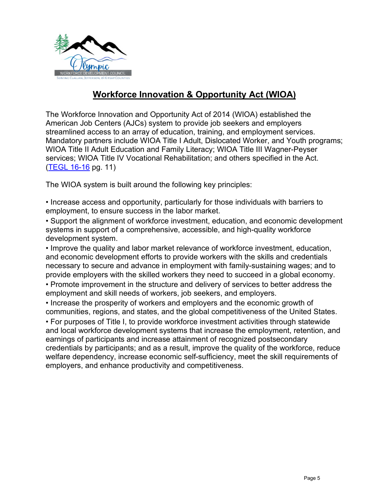

## **Workforce Innovation & Opportunity Act (WIOA)**

<span id="page-4-0"></span>The Workforce Innovation and Opportunity Act of 2014 (WIOA) established the American Job Centers (AJCs) system to provide job seekers and employers streamlined access to an array of education, training, and employment services. Mandatory partners include WIOA Title I Adult, Dislocated Worker, and Youth programs; WIOA Title II Adult Education and Family Literacy; WIOA Title III Wagner-Peyser services; WIOA Title IV Vocational Rehabilitation; and others specified in the Act. [\(TEGL 16-16](https://wdr.doleta.gov/directives/corr_doc.cfm?DOCN=8772) pg. 11)

The WIOA system is built around the following key principles:

• Increase access and opportunity, particularly for those individuals with barriers to employment, to ensure success in the labor market.

• Support the alignment of workforce investment, education, and economic development systems in support of a comprehensive, accessible, and high-quality workforce development system.

• Improve the quality and labor market relevance of workforce investment, education, and economic development efforts to provide workers with the skills and credentials necessary to secure and advance in employment with family-sustaining wages; and to provide employers with the skilled workers they need to succeed in a global economy.

• Promote improvement in the structure and delivery of services to better address the employment and skill needs of workers, job seekers, and employers.

• Increase the prosperity of workers and employers and the economic growth of communities, regions, and states, and the global competitiveness of the United States.

• For purposes of Title I, to provide workforce investment activities through statewide and local workforce development systems that increase the employment, retention, and earnings of participants and increase attainment of recognized postsecondary credentials by participants; and as a result, improve the quality of the workforce, reduce welfare dependency, increase economic self-sufficiency, meet the skill requirements of employers, and enhance productivity and competitiveness.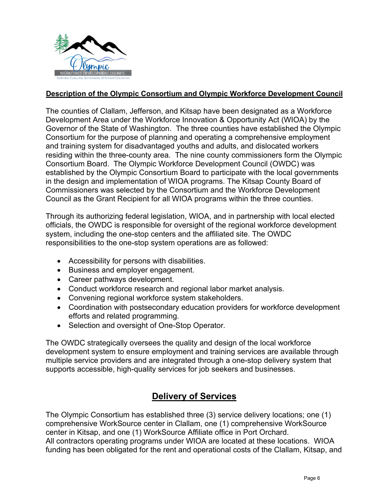

#### <span id="page-5-0"></span>**Description of the Olympic Consortium and Olympic Workforce Development Council**

The counties of Clallam, Jefferson, and Kitsap have been designated as a Workforce Development Area under the Workforce Innovation & Opportunity Act (WIOA) by the Governor of the State of Washington. The three counties have established the Olympic Consortium for the purpose of planning and operating a comprehensive employment and training system for disadvantaged youths and adults, and dislocated workers residing within the three-county area. The nine county commissioners form the Olympic Consortium Board. The Olympic Workforce Development Council (OWDC) was established by the Olympic Consortium Board to participate with the local governments in the design and implementation of WIOA programs. The Kitsap County Board of Commissioners was selected by the Consortium and the Workforce Development Council as the Grant Recipient for all WIOA programs within the three counties.

Through its authorizing federal legislation, WIOA, and in partnership with local elected officials, the OWDC is responsible for oversight of the regional workforce development system, including the one-stop centers and the affiliated site. The OWDC responsibilities to the one-stop system operations are as followed:

- Accessibility for persons with disabilities.
- Business and employer engagement.
- Career pathways development.
- Conduct workforce research and regional labor market analysis.
- Convening regional workforce system stakeholders.
- Coordination with postsecondary education providers for workforce development efforts and related programming.
- Selection and oversight of One-Stop Operator.

The OWDC strategically oversees the quality and design of the local workforce development system to ensure employment and training services are available through multiple service providers and are integrated through a one-stop delivery system that supports accessible, high-quality services for job seekers and businesses.

## **Delivery of Services**

<span id="page-5-1"></span>The Olympic Consortium has established three (3) service delivery locations; one (1) comprehensive WorkSource center in Clallam, one (1) comprehensive WorkSource center in Kitsap, and one (1) WorkSource Affiliate office in Port Orchard. All contractors operating programs under WIOA are located at these locations. WIOA funding has been obligated for the rent and operational costs of the Clallam, Kitsap, and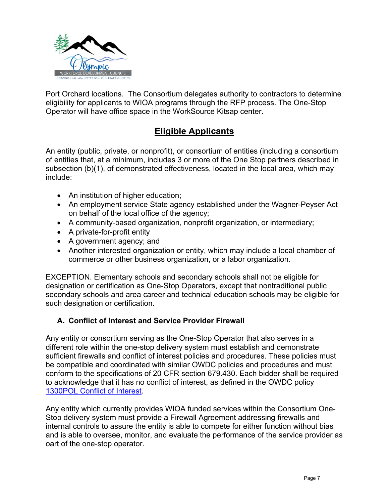

Port Orchard locations. The Consortium delegates authority to contractors to determine eligibility for applicants to WIOA programs through the RFP process. The One-Stop Operator will have office space in the WorkSource Kitsap center.

## **Eligible Applicants**

<span id="page-6-0"></span>An entity (public, private, or nonprofit), or consortium of entities (including a consortium of entities that, at a minimum, includes 3 or more of the One Stop partners described in subsection (b)(1), of demonstrated effectiveness, located in the local area, which may include:

- An institution of higher education;
- An employment service State agency established under the Wagner-Peyser Act on behalf of the local office of the agency;
- A community-based organization, nonprofit organization, or intermediary;
- A private-for-profit entity
- A government agency; and
- Another interested organization or entity, which may include a local chamber of commerce or other business organization, or a labor organization.

EXCEPTION. Elementary schools and secondary schools shall not be eligible for designation or certification as One-Stop Operators, except that nontraditional public secondary schools and area career and technical education schools may be eligible for such designation or certification.

#### **A. Conflict of Interest and Service Provider Firewall**

Any entity or consortium serving as the One-Stop Operator that also serves in a different role within the one-stop delivery system must establish and demonstrate sufficient firewalls and conflict of interest policies and procedures. These policies must be compatible and coordinated with similar OWDC policies and procedures and must conform to the specifications of 20 CFR section 679.430. Each bidder shall be required to acknowledge that it has no conflict of interest, as defined in the OWDC policy [1300POL Conflict of Interest.](https://www.kitsapgov.com/hs/OWDCDocuments/Policy/1300POL%20Conflict%20of%20Interest.pdf)

Any entity which currently provides WIOA funded services within the Consortium One-Stop delivery system must provide a Firewall Agreement addressing firewalls and internal controls to assure the entity is able to compete for either function without bias and is able to oversee, monitor, and evaluate the performance of the service provider as oart of the one-stop operator.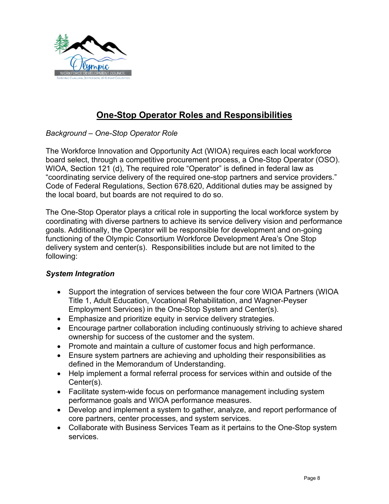

## **One-Stop Operator Roles and Responsibilities**

<span id="page-7-0"></span>*Background – One-Stop Operator Role*

The Workforce Innovation and Opportunity Act (WIOA) requires each local workforce board select, through a competitive procurement process, a One-Stop Operator (OSO). WIOA, Section 121 (d), The required role "Operator" is defined in federal law as "coordinating service delivery of the required one-stop partners and service providers." Code of Federal Regulations, Section 678.620, Additional duties may be assigned by the local board, but boards are not required to do so.

The One-Stop Operator plays a critical role in supporting the local workforce system by coordinating with diverse partners to achieve its service delivery vision and performance goals. Additionally, the Operator will be responsible for development and on-going functioning of the Olympic Consortium Workforce Development Area's One Stop delivery system and center(s). Responsibilities include but are not limited to the following:

#### *System Integration*

- Support the integration of services between the four core WIOA Partners (WIOA Title 1, Adult Education, Vocational Rehabilitation, and Wagner-Peyser Employment Services) in the One-Stop System and Center(s).
- Emphasize and prioritize equity in service delivery strategies.
- Encourage partner collaboration including continuously striving to achieve shared ownership for success of the customer and the system.
- Promote and maintain a culture of customer focus and high performance.
- Ensure system partners are achieving and upholding their responsibilities as defined in the Memorandum of Understanding.
- Help implement a formal referral process for services within and outside of the Center(s).
- Facilitate system-wide focus on performance management including system performance goals and WIOA performance measures.
- Develop and implement a system to gather, analyze, and report performance of core partners, center processes, and system services.
- Collaborate with Business Services Team as it pertains to the One-Stop system services.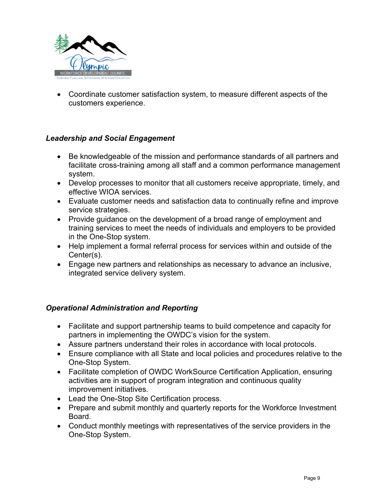

• Coordinate customer satisfaction system, to measure different aspects of the customers experience.

#### *Leadership and Social Engagement*

- Be knowledgeable of the mission and performance standards of all partners and facilitate cross-training among all staff and a common performance management system.
- Develop processes to monitor that all customers receive appropriate, timely, and effective WIOA services.
- Evaluate customer needs and satisfaction data to continually refine and improve service strategies.
- Provide guidance on the development of a broad range of employment and training services to meet the needs of individuals and employers to be provided in the One-Stop system.
- Help implement a formal referral process for services within and outside of the Center(s).
- Engage new partners and relationships as necessary to advance an inclusive, integrated service delivery system.

#### *Operational Administration and Reporting*

- Facilitate and support partnership teams to build competence and capacity for partners in implementing the OWDC's vision for the system.
- Assure partners understand their roles in accordance with local protocols.
- Ensure compliance with all State and local policies and procedures relative to the One-Stop System.
- Facilitate completion of OWDC WorkSource Certification Application, ensuring activities are in support of program integration and continuous quality improvement initiatives.
- Lead the One-Stop Site Certification process.
- Prepare and submit monthly and quarterly reports for the Workforce Investment Board.
- Conduct monthly meetings with representatives of the service providers in the One-Stop System.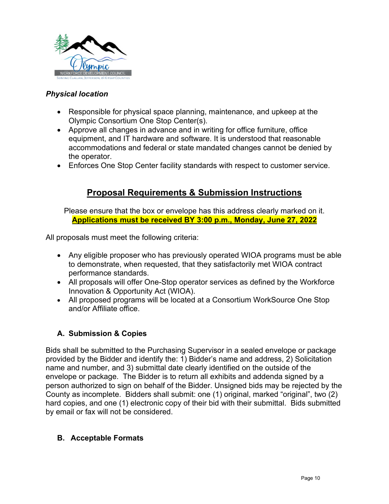

#### *Physical location*

- Responsible for physical space planning, maintenance, and upkeep at the Olympic Consortium One Stop Center(s).
- Approve all changes in advance and in writing for office furniture, office equipment, and IT hardware and software. It is understood that reasonable accommodations and federal or state mandated changes cannot be denied by the operator.
- Enforces One Stop Center facility standards with respect to customer service.

### **Proposal Requirements & Submission Instructions**

<span id="page-9-0"></span>Please ensure that the box or envelope has this address clearly marked on it. **Applications must be received BY 3:00 p.m., Monday, June 27, 2022**

All proposals must meet the following criteria:

- Any eligible proposer who has previously operated WIOA programs must be able to demonstrate, when requested, that they satisfactorily met WIOA contract performance standards.
- All proposals will offer One-Stop operator services as defined by the Workforce Innovation & Opportunity Act (WIOA).
- All proposed programs will be located at a Consortium WorkSource One Stop and/or Affiliate office.

#### **A. Submission & Copies**

Bids shall be submitted to the Purchasing Supervisor in a sealed envelope or package provided by the Bidder and identify the: 1) Bidder's name and address, 2) Solicitation name and number, and 3) submittal date clearly identified on the outside of the envelope or package. The Bidder is to return all exhibits and addenda signed by a person authorized to sign on behalf of the Bidder. Unsigned bids may be rejected by the County as incomplete. Bidders shall submit: one (1) original, marked "original", two (2) hard copies, and one (1) electronic copy of their bid with their submittal. Bids submitted by email or fax will not be considered.

#### **B. Acceptable Formats**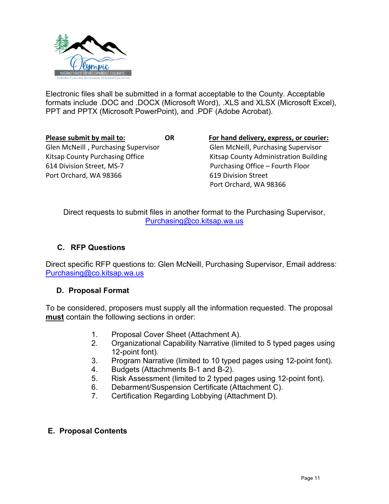

Electronic files shall be submitted in a format acceptable to the County. Acceptable formats include .DOC and .DOCX (Microsoft Word), .XLS and XLSX (Microsoft Excel), PPT and PPTX (Microsoft PowerPoint), and .PDF (Adobe Acrobat).

Glen McNeill , Purchasing Supervisor Glen McNeill, Purchasing Supervisor Kitsap County Purchasing Office Kitsap County Administration Building 614 Division Street, MS-7 Purchasing Office – Fourth Floor Port Orchard, WA 98366 619 Division Street

**Please submit by mail to: OR For hand delivery, express, or courier:** Port Orchard, WA 98366

Direct requests to submit files in another format to the Purchasing Supervisor, [Purchasing@co.kitsap.wa.us](mailto:Purchasing@co.kitsap.wa.us)

#### **C. RFP Questions**

Direct specific RFP questions to: Glen McNeill, Purchasing Supervisor, Email address: [Purchasing@co.kitsap.wa.us](mailto:Purchasing@co.kitsap.wa.us)

#### **D. Proposal Format**

To be considered, proposers must supply all the information requested. The proposal **must** contain the following sections in order:

- 1. Proposal Cover Sheet (Attachment A).
- 2. Organizational Capability Narrative (limited to 5 typed pages using 12-point font).
- 3. Program Narrative (limited to 10 typed pages using 12-point font).
- 4. Budgets (Attachments B-1 and B-2).
- 5. Risk Assessment (limited to 2 typed pages using 12-point font).
- 6. Debarment/Suspension Certificate (Attachment C).
- 7. Certification Regarding Lobbying (Attachment D).

#### **E. Proposal Contents**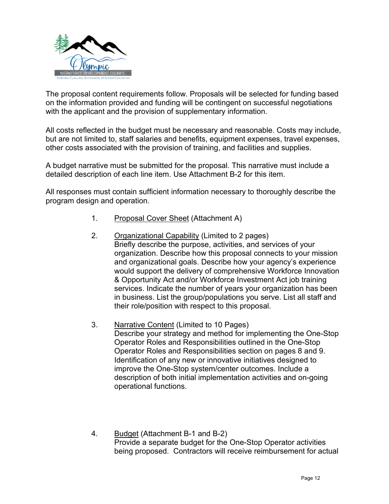

The proposal content requirements follow. Proposals will be selected for funding based on the information provided and funding will be contingent on successful negotiations with the applicant and the provision of supplementary information.

All costs reflected in the budget must be necessary and reasonable. Costs may include, but are not limited to, staff salaries and benefits, equipment expenses, travel expenses, other costs associated with the provision of training, and facilities and supplies.

A budget narrative must be submitted for the proposal. This narrative must include a detailed description of each line item. Use Attachment B-2 for this item.

All responses must contain sufficient information necessary to thoroughly describe the program design and operation.

- 1. Proposal Cover Sheet (Attachment A)
- 2. Organizational Capability (Limited to 2 pages) Briefly describe the purpose, activities, and services of your organization. Describe how this proposal connects to your mission and organizational goals. Describe how your agency's experience would support the delivery of comprehensive Workforce Innovation & Opportunity Act and/or Workforce Investment Act job training services. Indicate the number of years your organization has been in business. List the group/populations you serve. List all staff and their role/position with respect to this proposal.
- 3. Narrative Content (Limited to 10 Pages) Describe your strategy and method for implementing the One-Stop Operator Roles and Responsibilities outlined in the One-Stop Operator Roles and Responsibilities section on pages 8 and 9. Identification of any new or innovative initiatives designed to improve the One-Stop system/center outcomes. Include a description of both initial implementation activities and on-going operational functions.
- 4. Budget (Attachment B-1 and B-2) Provide a separate budget for the One-Stop Operator activities being proposed. Contractors will receive reimbursement for actual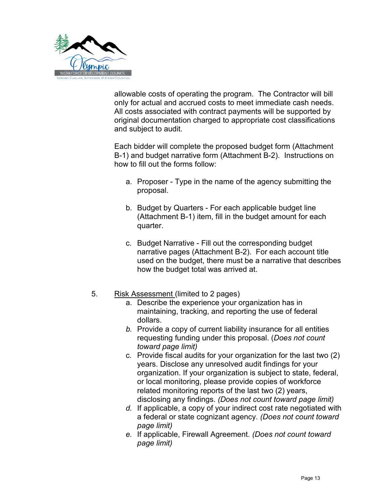

allowable costs of operating the program. The Contractor will bill only for actual and accrued costs to meet immediate cash needs. All costs associated with contract payments will be supported by original documentation charged to appropriate cost classifications and subject to audit.

Each bidder will complete the proposed budget form (Attachment B-1) and budget narrative form (Attachment B-2). Instructions on how to fill out the forms follow:

- a. Proposer Type in the name of the agency submitting the proposal.
- b. Budget by Quarters For each applicable budget line (Attachment B-1) item, fill in the budget amount for each quarter.
- c. Budget Narrative Fill out the corresponding budget narrative pages (Attachment B-2). For each account title used on the budget, there must be a narrative that describes how the budget total was arrived at.
- 5. Risk Assessment (limited to 2 pages)
	- a. Describe the experience your organization has in maintaining, tracking, and reporting the use of federal dollars.
	- *b.* Provide a copy of current liability insurance for all entities requesting funding under this proposal. (*Does not count toward page limit)*
	- c. Provide fiscal audits for your organization for the last two (2) years. Disclose any unresolved audit findings for your organization. If your organization is subject to state, federal, or local monitoring, please provide copies of workforce related monitoring reports of the last two (2) years, disclosing any findings. *(Does not count toward page limit)*
	- *d.* If applicable, a copy of your indirect cost rate negotiated with a federal or state cognizant agency. *(Does not count toward page limit)*
	- *e.* If applicable, Firewall Agreement. *(Does not count toward page limit)*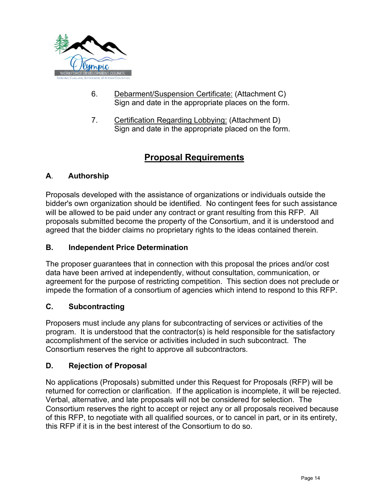

- 6. Debarment/Suspension Certificate: (Attachment C) Sign and date in the appropriate places on the form.
- 7. Certification Regarding Lobbying: (Attachment D) Sign and date in the appropriate placed on the form.

## **Proposal Requirements**

### <span id="page-13-0"></span>**A**. **Authorship**

Proposals developed with the assistance of organizations or individuals outside the bidder's own organization should be identified. No contingent fees for such assistance will be allowed to be paid under any contract or grant resulting from this RFP. All proposals submitted become the property of the Consortium, and it is understood and agreed that the bidder claims no proprietary rights to the ideas contained therein.

#### **B. Independent Price Determination**

The proposer guarantees that in connection with this proposal the prices and/or cost data have been arrived at independently, without consultation, communication, or agreement for the purpose of restricting competition. This section does not preclude or impede the formation of a consortium of agencies which intend to respond to this RFP.

#### **C. Subcontracting**

Proposers must include any plans for subcontracting of services or activities of the program. It is understood that the contractor(s) is held responsible for the satisfactory accomplishment of the service or activities included in such subcontract. The Consortium reserves the right to approve all subcontractors.

#### **D. Rejection of Proposal**

No applications (Proposals) submitted under this Request for Proposals (RFP) will be returned for correction or clarification. If the application is incomplete, it will be rejected. Verbal, alternative, and late proposals will not be considered for selection. The Consortium reserves the right to accept or reject any or all proposals received because of this RFP, to negotiate with all qualified sources, or to cancel in part, or in its entirety, this RFP if it is in the best interest of the Consortium to do so.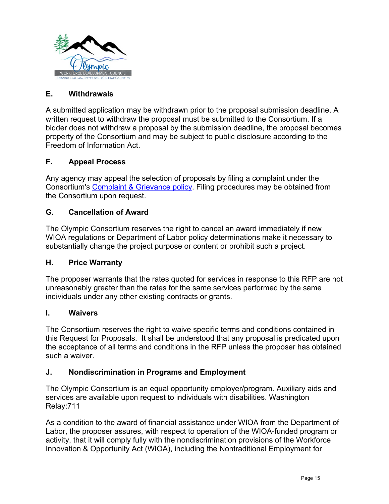

#### **E. Withdrawals**

A submitted application may be withdrawn prior to the proposal submission deadline. A written request to withdraw the proposal must be submitted to the Consortium. If a bidder does not withdraw a proposal by the submission deadline, the proposal becomes property of the Consortium and may be subject to public disclosure according to the Freedom of Information Act.

#### **F. Appeal Process**

Any agency may appeal the selection of proposals by filing a complaint under the Consortium's [Complaint & Grievance policy.](https://www.kitsapgov.com/hs/OWDCDocuments/Policy/1100POL%20Complaint%20and%20Grievance%20Policy.pdf) Filing procedures may be obtained from the Consortium upon request.

#### **G. Cancellation of Award**

The Olympic Consortium reserves the right to cancel an award immediately if new WIOA regulations or Department of Labor policy determinations make it necessary to substantially change the project purpose or content or prohibit such a project.

#### **H. Price Warranty**

The proposer warrants that the rates quoted for services in response to this RFP are not unreasonably greater than the rates for the same services performed by the same individuals under any other existing contracts or grants.

#### **I. Waivers**

The Consortium reserves the right to waive specific terms and conditions contained in this Request for Proposals. It shall be understood that any proposal is predicated upon the acceptance of all terms and conditions in the RFP unless the proposer has obtained such a waiver.

#### **J. Nondiscrimination in Programs and Employment**

The Olympic Consortium is an equal opportunity employer/program. Auxiliary aids and services are available upon request to individuals with disabilities. Washington Relay:711

As a condition to the award of financial assistance under WIOA from the Department of Labor, the proposer assures, with respect to operation of the WIOA-funded program or activity, that it will comply fully with the nondiscrimination provisions of the Workforce Innovation & Opportunity Act (WIOA), including the Nontraditional Employment for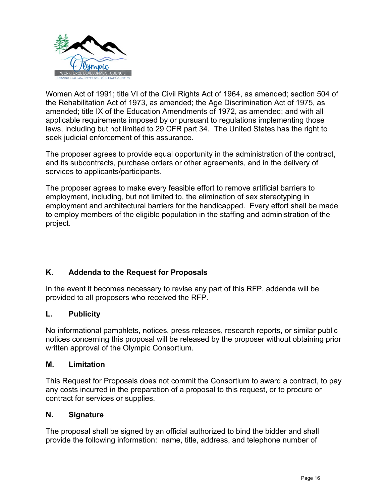

Women Act of 1991; title VI of the Civil Rights Act of 1964, as amended; section 504 of the Rehabilitation Act of 1973, as amended; the Age Discrimination Act of 1975, as amended; title IX of the Education Amendments of 1972, as amended; and with all applicable requirements imposed by or pursuant to regulations implementing those laws, including but not limited to 29 CFR part 34. The United States has the right to seek judicial enforcement of this assurance.

The proposer agrees to provide equal opportunity in the administration of the contract, and its subcontracts, purchase orders or other agreements, and in the delivery of services to applicants/participants.

The proposer agrees to make every feasible effort to remove artificial barriers to employment, including, but not limited to, the elimination of sex stereotyping in employment and architectural barriers for the handicapped. Every effort shall be made to employ members of the eligible population in the staffing and administration of the project.

#### **K. Addenda to the Request for Proposals**

In the event it becomes necessary to revise any part of this RFP, addenda will be provided to all proposers who received the RFP.

#### **L. Publicity**

No informational pamphlets, notices, press releases, research reports, or similar public notices concerning this proposal will be released by the proposer without obtaining prior written approval of the Olympic Consortium.

#### **M. Limitation**

This Request for Proposals does not commit the Consortium to award a contract, to pay any costs incurred in the preparation of a proposal to this request, or to procure or contract for services or supplies.

#### **N. Signature**

The proposal shall be signed by an official authorized to bind the bidder and shall provide the following information: name, title, address, and telephone number of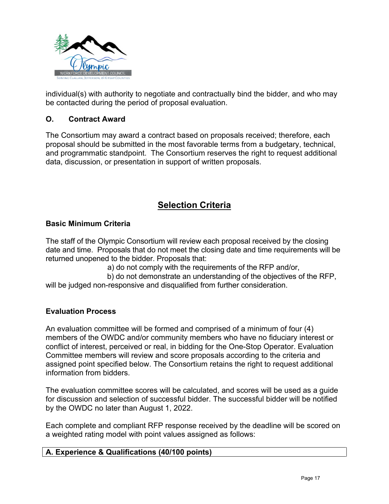

individual(s) with authority to negotiate and contractually bind the bidder, and who may be contacted during the period of proposal evaluation.

#### **O. Contract Award**

The Consortium may award a contract based on proposals received; therefore, each proposal should be submitted in the most favorable terms from a budgetary, technical, and programmatic standpoint. The Consortium reserves the right to request additional data, discussion, or presentation in support of written proposals.

### **Selection Criteria**

#### <span id="page-16-0"></span>**Basic Minimum Criteria**

The staff of the Olympic Consortium will review each proposal received by the closing date and time. Proposals that do not meet the closing date and time requirements will be returned unopened to the bidder. Proposals that:

a) do not comply with the requirements of the RFP and/or,

 b) do not demonstrate an understanding of the objectives of the RFP, will be judged non-responsive and disqualified from further consideration.

#### **Evaluation Process**

An evaluation committee will be formed and comprised of a minimum of four (4) members of the OWDC and/or community members who have no fiduciary interest or conflict of interest, perceived or real, in bidding for the One-Stop Operator. Evaluation Committee members will review and score proposals according to the criteria and assigned point specified below. The Consortium retains the right to request additional information from bidders.

The evaluation committee scores will be calculated, and scores will be used as a guide for discussion and selection of successful bidder. The successful bidder will be notified by the OWDC no later than August 1, 2022.

Each complete and compliant RFP response received by the deadline will be scored on a weighted rating model with point values assigned as follows: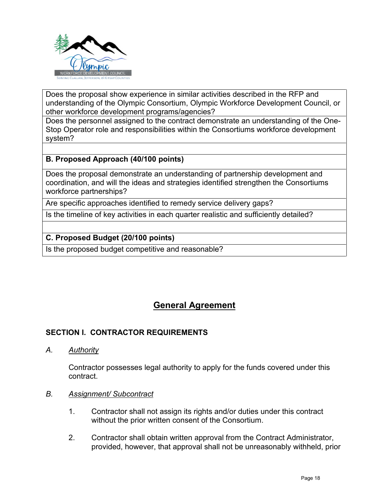

Does the proposal show experience in similar activities described in the RFP and understanding of the Olympic Consortium, Olympic Workforce Development Council, or other workforce development programs/agencies?

Does the personnel assigned to the contract demonstrate an understanding of the One-Stop Operator role and responsibilities within the Consortiums workforce development system?

#### **B. Proposed Approach (40/100 points)**

Does the proposal demonstrate an understanding of partnership development and coordination, and will the ideas and strategies identified strengthen the Consortiums workforce partnerships?

Are specific approaches identified to remedy service delivery gaps?

Is the timeline of key activities in each quarter realistic and sufficiently detailed?

#### **C. Proposed Budget (20/100 points)**

Is the proposed budget competitive and reasonable?

## **General Agreement**

#### <span id="page-17-0"></span>**SECTION I. CONTRACTOR REQUIREMENTS**

*A. Authority*

Contractor possesses legal authority to apply for the funds covered under this contract.

#### *B. Assignment/ Subcontract*

- 1. Contractor shall not assign its rights and/or duties under this contract without the prior written consent of the Consortium.
- 2. Contractor shall obtain written approval from the Contract Administrator, provided, however, that approval shall not be unreasonably withheld, prior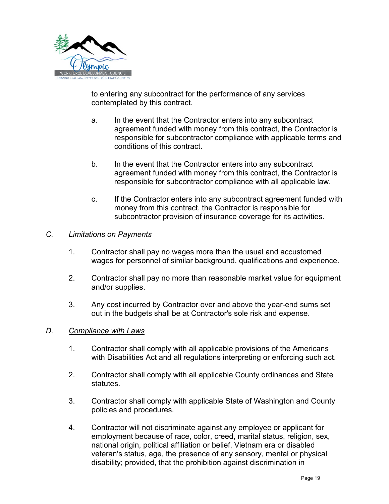

to entering any subcontract for the performance of any services contemplated by this contract.

- a. In the event that the Contractor enters into any subcontract agreement funded with money from this contract, the Contractor is responsible for subcontractor compliance with applicable terms and conditions of this contract.
- b. In the event that the Contractor enters into any subcontract agreement funded with money from this contract, the Contractor is responsible for subcontractor compliance with all applicable law.
- c. If the Contractor enters into any subcontract agreement funded with money from this contract, the Contractor is responsible for subcontractor provision of insurance coverage for its activities.

#### *C. Limitations on Payments*

- 1. Contractor shall pay no wages more than the usual and accustomed wages for personnel of similar background, qualifications and experience.
- 2. Contractor shall pay no more than reasonable market value for equipment and/or supplies.
- 3. Any cost incurred by Contractor over and above the year-end sums set out in the budgets shall be at Contractor's sole risk and expense.

#### *D. Compliance with Laws*

- 1. Contractor shall comply with all applicable provisions of the Americans with Disabilities Act and all regulations interpreting or enforcing such act.
- 2. Contractor shall comply with all applicable County ordinances and State statutes.
- 3. Contractor shall comply with applicable State of Washington and County policies and procedures.
- 4. Contractor will not discriminate against any employee or applicant for employment because of race, color, creed, marital status, religion, sex, national origin, political affiliation or belief, Vietnam era or disabled veteran's status, age, the presence of any sensory, mental or physical disability; provided, that the prohibition against discrimination in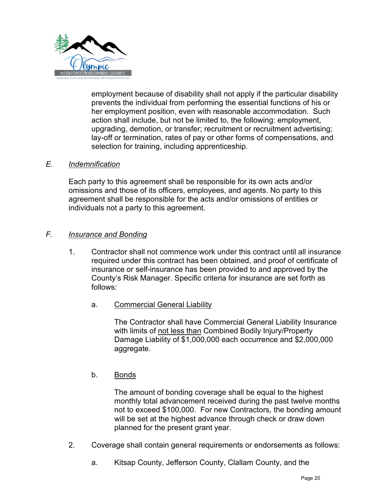

employment because of disability shall not apply if the particular disability prevents the individual from performing the essential functions of his or her employment position, even with reasonable accommodation. Such action shall include, but not be limited to, the following: employment, upgrading, demotion, or transfer; recruitment or recruitment advertising; lay-off or termination, rates of pay or other forms of compensations, and selection for training, including apprenticeship.

#### *E. Indemnification*

Each party to this agreement shall be responsible for its own acts and/or omissions and those of its officers, employees, and agents. No party to this agreement shall be responsible for the acts and/or omissions of entities or individuals not a party to this agreement.

#### *F. Insurance and Bonding*

- 1. Contractor shall not commence work under this contract until all insurance required under this contract has been obtained, and proof of certificate of insurance or self-insurance has been provided to and approved by the County's Risk Manager. Specific criteria for insurance are set forth as follows:
	- a. Commercial General Liability

The Contractor shall have Commercial General Liability Insurance with limits of not less than Combined Bodily Injury/Property Damage Liability of \$1,000,000 each occurrence and \$2,000,000 aggregate.

#### b. Bonds

The amount of bonding coverage shall be equal to the highest monthly total advancement received during the past twelve months not to exceed \$100,000. For new Contractors, the bonding amount will be set at the highest advance through check or draw down planned for the present grant year.

- 2. Coverage shall contain general requirements or endorsements as follows:
	- a. Kitsap County, Jefferson County, Clallam County, and the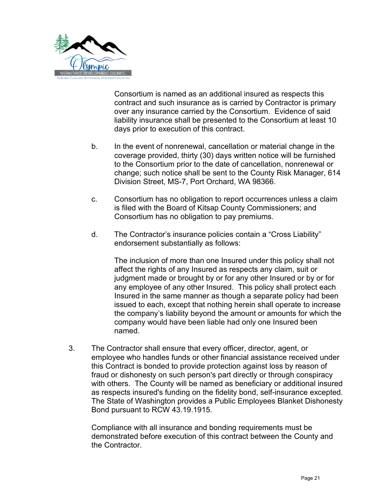

Consortium is named as an additional insured as respects this contract and such insurance as is carried by Contractor is primary over any insurance carried by the Consortium. Evidence of said liability insurance shall be presented to the Consortium at least 10 days prior to execution of this contract.

- b. In the event of nonrenewal, cancellation or material change in the coverage provided, thirty (30) days written notice will be furnished to the Consortium prior to the date of cancellation, nonrenewal or change; such notice shall be sent to the County Risk Manager, 614 Division Street, MS-7, Port Orchard, WA 98366.
- c. Consortium has no obligation to report occurrences unless a claim is filed with the Board of Kitsap County Commissioners; and Consortium has no obligation to pay premiums.
- d. The Contractor's insurance policies contain a "Cross Liability" endorsement substantially as follows:

The inclusion of more than one Insured under this policy shall not affect the rights of any Insured as respects any claim, suit or judgment made or brought by or for any other Insured or by or for any employee of any other Insured. This policy shall protect each Insured in the same manner as though a separate policy had been issued to each, except that nothing herein shall operate to increase the company's liability beyond the amount or amounts for which the company would have been liable had only one Insured been named.

3. The Contractor shall ensure that every officer, director, agent, or employee who handles funds or other financial assistance received under this Contract is bonded to provide protection against loss by reason of fraud or dishonesty on such person's part directly or through conspiracy with others. The County will be named as beneficiary or additional insured as respects insured's funding on the fidelity bond, self-insurance excepted. The State of Washington provides a Public Employees Blanket Dishonesty Bond pursuant to RCW 43.19.1915.

Compliance with all insurance and bonding requirements must be demonstrated before execution of this contract between the County and the Contractor.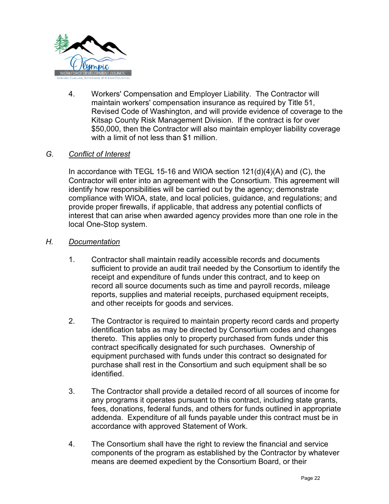

4. Workers' Compensation and Employer Liability. The Contractor will maintain workers' compensation insurance as required by Title 51, Revised Code of Washington, and will provide evidence of coverage to the Kitsap County Risk Management Division. If the contract is for over \$50,000, then the Contractor will also maintain employer liability coverage with a limit of not less than \$1 million.

#### *G. Conflict of Interest*

In accordance with TEGL 15-16 and WIOA section 121(d)(4)(A) and (C), the Contractor will enter into an agreement with the Consortium. This agreement will identify how responsibilities will be carried out by the agency; demonstrate compliance with WIOA, state, and local policies, guidance, and regulations; and provide proper firewalls, if applicable, that address any potential conflicts of interest that can arise when awarded agency provides more than one role in the local One-Stop system.

#### *H. Documentation*

- 1. Contractor shall maintain readily accessible records and documents sufficient to provide an audit trail needed by the Consortium to identify the receipt and expenditure of funds under this contract, and to keep on record all source documents such as time and payroll records, mileage reports, supplies and material receipts, purchased equipment receipts, and other receipts for goods and services.
- 2. The Contractor is required to maintain property record cards and property identification tabs as may be directed by Consortium codes and changes thereto. This applies only to property purchased from funds under this contract specifically designated for such purchases. Ownership of equipment purchased with funds under this contract so designated for purchase shall rest in the Consortium and such equipment shall be so identified.
- 3. The Contractor shall provide a detailed record of all sources of income for any programs it operates pursuant to this contract, including state grants, fees, donations, federal funds, and others for funds outlined in appropriate addenda. Expenditure of all funds payable under this contract must be in accordance with approved Statement of Work.
- 4. The Consortium shall have the right to review the financial and service components of the program as established by the Contractor by whatever means are deemed expedient by the Consortium Board, or their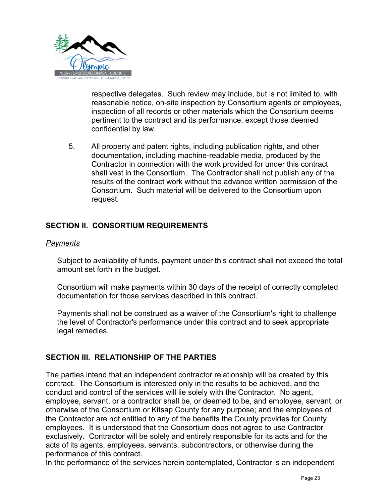

respective delegates. Such review may include, but is not limited to, with reasonable notice, on-site inspection by Consortium agents or employees, inspection of all records or other materials which the Consortium deems pertinent to the contract and its performance, except those deemed confidential by law.

5. All property and patent rights, including publication rights, and other documentation, including machine-readable media, produced by the Contractor in connection with the work provided for under this contract shall vest in the Consortium. The Contractor shall not publish any of the results of the contract work without the advance written permission of the Consortium. Such material will be delivered to the Consortium upon request.

#### **SECTION II. CONSORTIUM REQUIREMENTS**

#### *Payments*

Subject to availability of funds, payment under this contract shall not exceed the total amount set forth in the budget.

Consortium will make payments within 30 days of the receipt of correctly completed documentation for those services described in this contract.

Payments shall not be construed as a waiver of the Consortium's right to challenge the level of Contractor's performance under this contract and to seek appropriate legal remedies.

#### **SECTION III. RELATIONSHIP OF THE PARTIES**

The parties intend that an independent contractor relationship will be created by this contract. The Consortium is interested only in the results to be achieved, and the conduct and control of the services will lie solely with the Contractor. No agent, employee, servant, or a contractor shall be, or deemed to be, and employee, servant, or otherwise of the Consortium or Kitsap County for any purpose; and the employees of the Contractor are not entitled to any of the benefits the County provides for County employees. It is understood that the Consortium does not agree to use Contractor exclusively. Contractor will be solely and entirely responsible for its acts and for the acts of its agents, employees, servants, subcontractors, or otherwise during the performance of this contract.

In the performance of the services herein contemplated, Contractor is an independent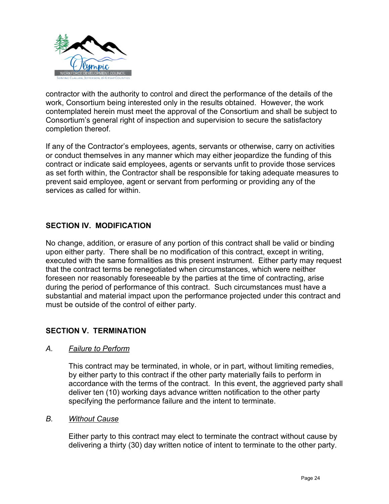

contractor with the authority to control and direct the performance of the details of the work, Consortium being interested only in the results obtained. However, the work contemplated herein must meet the approval of the Consortium and shall be subject to Consortium's general right of inspection and supervision to secure the satisfactory completion thereof.

If any of the Contractor's employees, agents, servants or otherwise, carry on activities or conduct themselves in any manner which may either jeopardize the funding of this contract or indicate said employees, agents or servants unfit to provide those services as set forth within, the Contractor shall be responsible for taking adequate measures to prevent said employee, agent or servant from performing or providing any of the services as called for within.

#### **SECTION IV. MODIFICATION**

No change, addition, or erasure of any portion of this contract shall be valid or binding upon either party. There shall be no modification of this contract, except in writing, executed with the same formalities as this present instrument. Either party may request that the contract terms be renegotiated when circumstances, which were neither foreseen nor reasonably foreseeable by the parties at the time of contracting, arise during the period of performance of this contract. Such circumstances must have a substantial and material impact upon the performance projected under this contract and must be outside of the control of either party.

#### **SECTION V. TERMINATION**

#### *A. Failure to Perform*

This contract may be terminated, in whole, or in part, without limiting remedies, by either party to this contract if the other party materially fails to perform in accordance with the terms of the contract. In this event, the aggrieved party shall deliver ten (10) working days advance written notification to the other party specifying the performance failure and the intent to terminate.

#### *B. Without Cause*

Either party to this contract may elect to terminate the contract without cause by delivering a thirty (30) day written notice of intent to terminate to the other party.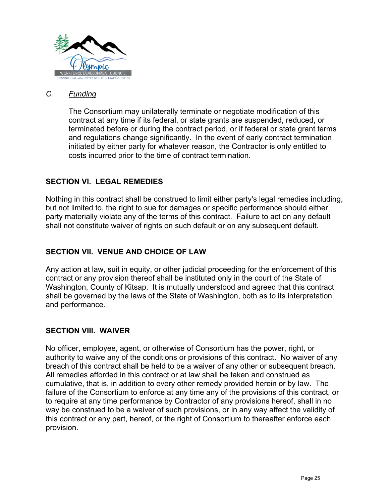

#### *C. Funding*

The Consortium may unilaterally terminate or negotiate modification of this contract at any time if its federal, or state grants are suspended, reduced, or terminated before or during the contract period, or if federal or state grant terms and regulations change significantly. In the event of early contract termination initiated by either party for whatever reason, the Contractor is only entitled to costs incurred prior to the time of contract termination.

#### **SECTION VI. LEGAL REMEDIES**

Nothing in this contract shall be construed to limit either party's legal remedies including, but not limited to, the right to sue for damages or specific performance should either party materially violate any of the terms of this contract. Failure to act on any default shall not constitute waiver of rights on such default or on any subsequent default.

#### **SECTION VII. VENUE AND CHOICE OF LAW**

Any action at law, suit in equity, or other judicial proceeding for the enforcement of this contract or any provision thereof shall be instituted only in the court of the State of Washington, County of Kitsap. It is mutually understood and agreed that this contract shall be governed by the laws of the State of Washington, both as to its interpretation and performance.

#### **SECTION VIII. WAIVER**

No officer, employee, agent, or otherwise of Consortium has the power, right, or authority to waive any of the conditions or provisions of this contract. No waiver of any breach of this contract shall be held to be a waiver of any other or subsequent breach. All remedies afforded in this contract or at law shall be taken and construed as cumulative, that is, in addition to every other remedy provided herein or by law. The failure of the Consortium to enforce at any time any of the provisions of this contract, or to require at any time performance by Contractor of any provisions hereof, shall in no way be construed to be a waiver of such provisions, or in any way affect the validity of this contract or any part, hereof, or the right of Consortium to thereafter enforce each provision.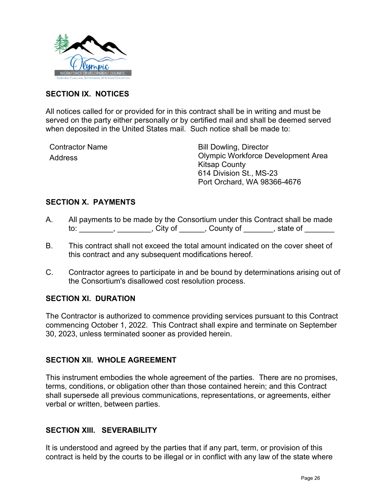

#### **SECTION IX. NOTICES**

All notices called for or provided for in this contract shall be in writing and must be served on the party either personally or by certified mail and shall be deemed served when deposited in the United States mail. Such notice shall be made to:

Contractor Name Address

Bill Dowling, Director Olympic Workforce Development Area Kitsap County 614 Division St., MS-23 Port Orchard, WA 98366-4676

#### **SECTION X. PAYMENTS**

- A. All payments to be made by the Consortium under this Contract shall be made to: \_\_\_\_\_\_\_\_, \_\_\_\_\_\_\_, City of \_\_\_\_\_\_, County of \_\_\_\_\_\_, state of \_\_\_\_\_\_
- B. This contract shall not exceed the total amount indicated on the cover sheet of this contract and any subsequent modifications hereof.
- C. Contractor agrees to participate in and be bound by determinations arising out of the Consortium's disallowed cost resolution process.

#### **SECTION XI. DURATION**

The Contractor is authorized to commence providing services pursuant to this Contract commencing October 1, 2022. This Contract shall expire and terminate on September 30, 2023, unless terminated sooner as provided herein.

#### **SECTION XII. WHOLE AGREEMENT**

This instrument embodies the whole agreement of the parties. There are no promises, terms, conditions, or obligation other than those contained herein; and this Contract shall supersede all previous communications, representations, or agreements, either verbal or written, between parties.

#### **SECTION XIII. SEVERABILITY**

It is understood and agreed by the parties that if any part, term, or provision of this contract is held by the courts to be illegal or in conflict with any law of the state where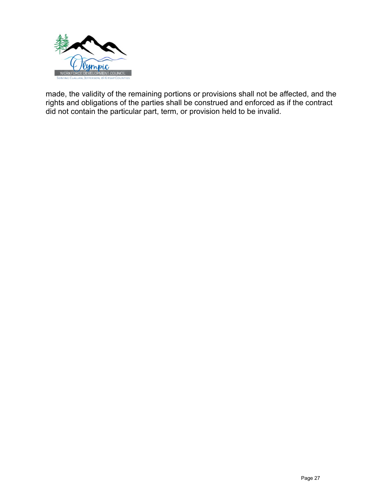

made, the validity of the remaining portions or provisions shall not be affected, and the rights and obligations of the parties shall be construed and enforced as if the contract did not contain the particular part, term, or provision held to be invalid.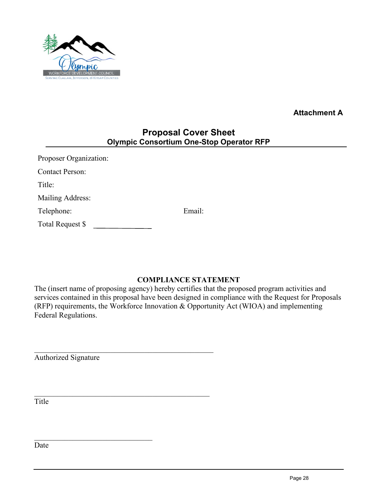

**Attachment A**

### **Proposal Cover Sheet Olympic Consortium One-Stop Operator RFP**

<span id="page-27-0"></span>

| <b>Proposer Organization:</b> |        |
|-------------------------------|--------|
| <b>Contact Person:</b>        |        |
| Title:                        |        |
| Mailing Address:              |        |
| Telephone:                    | Email: |
| Total Request \$              |        |
|                               |        |

#### **COMPLIANCE STATEMENT**

The (insert name of proposing agency) hereby certifies that the proposed program activities and services contained in this proposal have been designed in compliance with the Request for Proposals (RFP) requirements, the Workforce Innovation & Opportunity Act (WIOA) and implementing Federal Regulations.

Authorized Signature

Title

Date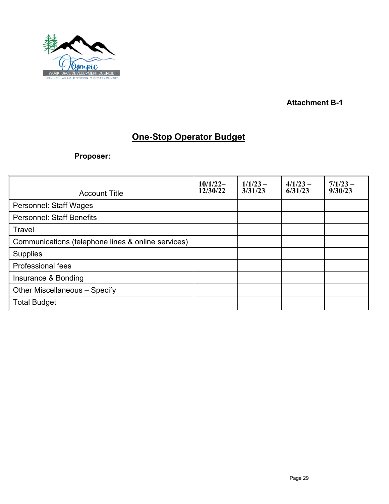

**Attachment B-1** 

## **One-Stop Operator Budget**

<span id="page-28-0"></span>**Proposer:**

| <b>Account Title</b>                               | $10/1/22-$<br>12/30/22 | $1/1/23 -$<br>3/31/23 | $4/1/23 -$<br>6/31/23 | $7/1/23 -$<br>9/30/23 |
|----------------------------------------------------|------------------------|-----------------------|-----------------------|-----------------------|
| <b>Personnel: Staff Wages</b>                      |                        |                       |                       |                       |
| <b>Personnel: Staff Benefits</b>                   |                        |                       |                       |                       |
| Travel                                             |                        |                       |                       |                       |
| Communications (telephone lines & online services) |                        |                       |                       |                       |
| <b>Supplies</b>                                    |                        |                       |                       |                       |
| <b>Professional fees</b>                           |                        |                       |                       |                       |
| Insurance & Bonding                                |                        |                       |                       |                       |
| Other Miscellaneous - Specify                      |                        |                       |                       |                       |
| <b>Total Budget</b>                                |                        |                       |                       |                       |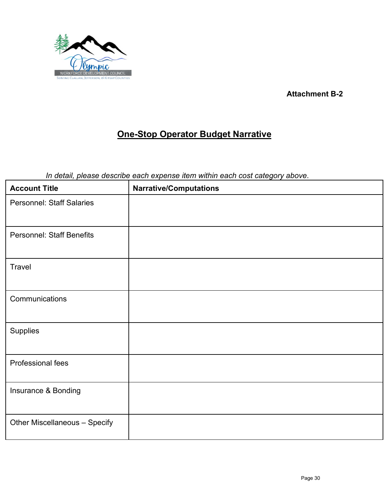

**Attachment B-2** 

## **One-Stop Operator Budget Narrative**

<span id="page-29-0"></span>*In detail, please describe each expense item within each cost category above*.

| <b>Account Title</b>             | <b>Narrative/Computations</b> |
|----------------------------------|-------------------------------|
| <b>Personnel: Staff Salaries</b> |                               |
| <b>Personnel: Staff Benefits</b> |                               |
| Travel                           |                               |
| Communications                   |                               |
| Supplies                         |                               |
| Professional fees                |                               |
| Insurance & Bonding              |                               |
| Other Miscellaneous - Specify    |                               |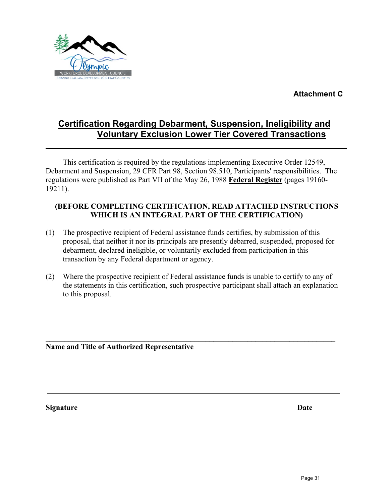**Attachment C** 



## <span id="page-30-0"></span>**Certification Regarding Debarment, Suspension, Ineligibility and Voluntary Exclusion Lower Tier Covered Transactions**

This certification is required by the regulations implementing Executive Order 12549, Debarment and Suspension, 29 CFR Part 98, Section 98.510, Participants' responsibilities. The regulations were published as Part VII of the May 26, 1988 **Federal Register** (pages 19160- 19211).

### **(BEFORE COMPLETING CERTIFICATION, READ ATTACHED INSTRUCTIONS WHICH IS AN INTEGRAL PART OF THE CERTIFICATION)**

- (1) The prospective recipient of Federal assistance funds certifies, by submission of this proposal, that neither it nor its principals are presently debarred, suspended, proposed for debarment, declared ineligible, or voluntarily excluded from participation in this transaction by any Federal department or agency.
- (2) Where the prospective recipient of Federal assistance funds is unable to certify to any of the statements in this certification, such prospective participant shall attach an explanation to this proposal.

**\_\_\_\_\_\_\_\_\_\_\_\_\_\_\_\_\_\_\_\_\_\_\_\_\_\_\_\_\_\_\_\_\_\_\_\_\_\_\_\_\_\_\_\_\_\_\_\_\_\_\_\_\_\_\_\_\_\_\_\_\_\_\_\_\_\_\_\_\_\_\_\_\_\_\_\_** 

**Name and Title of Authorized Representative**

**Signature Date**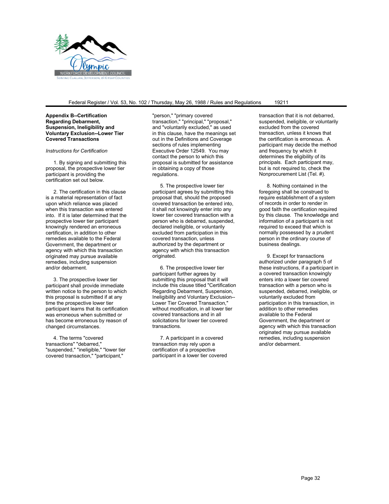

#### Federal Register / Vol. 53, No. 102 / Thursday, May 26, 1988 / Rules and Regulations 19211

**Appendix B--Certification Regarding Debarment, Suspension, Ineligibility and Voluntary Exclusion--Lower Tier Covered Transactions**

#### *Instructions for Certification*

1. By signing and submitting this proposal, the prospective lower tier participant is providing the certification set out below.

2. The certification in this clause is a material representation of fact upon which reliance was placed when this transaction was entered into. If it is later determined that the prospective lower tier participant knowingly rendered an erroneous certification, in addition to other remedies available to the Federal Government, the department or agency with which this transaction originated may pursue available remedies, including suspension and/or debarment.

3. The prospective lower tier participant shall provide immediate written notice to the person to which this proposal is submitted if at any time the prospective lower tier participant learns that its certification was erroneous when submitted or has become erroneous by reason of changed circumstances.

4. The terms "covered transactions" "debarred," "suspended," "ineligible," "lower tier covered transaction," "participant,"

"person," "primary covered transaction," "principal," "proposal," and "voluntarily excluded," as used in this clause, have the meanings set out in the Definitions and Coverage sections of rules implementing Executive Order 12549. You may contact the person to which this proposal is submitted for assistance in obtaining a copy of those regulations.

5. The prospective lower tier participant agrees by submitting this proposal that, should the proposed covered transaction be entered into, it shall not knowingly enter into any lower tier covered transaction with a person who is debarred, suspended, declared ineligible, or voluntarily excluded from participation in this covered transaction, unless authorized by the department or agency with which this transaction originated.

6. The prospective lower tier participant further agrees by submitting this proposal that it will include this clause titled "Certification Regarding Debarment, Suspension, Ineligibility and Voluntary Exclusion-- Lower Tier Covered Transaction," without modification, in all lower tier covered transactions and in all solicitations for lower tier covered transactions.

7. A participant in a covered transaction may rely upon a certification of a prospective participant in a lower tier covered transaction that it is not debarred, suspended, ineligible, or voluntarily excluded from the covered transaction, unless it knows that the certification is erroneous. A participant may decide the method and frequency by which it determines the eligibility of its principals. Each participant may, but is not required to, check the Nonprocurement List (Tel. #).

8. Nothing contained in the foregoing shall be construed to require establishment of a system of records in order to render in good faith the certification required by this clause. The knowledge and information of a participant is not required to exceed that which is normally possessed by a prudent person in the ordinary course of business dealings.

9. Except for transactions authorized under paragraph 5 of these instructions, if a participant in a covered transaction knowingly enters into a lower tier covered transaction with a person who is suspended, debarred, ineligible, or voluntarily excluded from participation in this transaction, in addition to other remedies available to the Federal Government, the department or agency with which this transaction originated may pursue available remedies, including suspension and/or debarment.